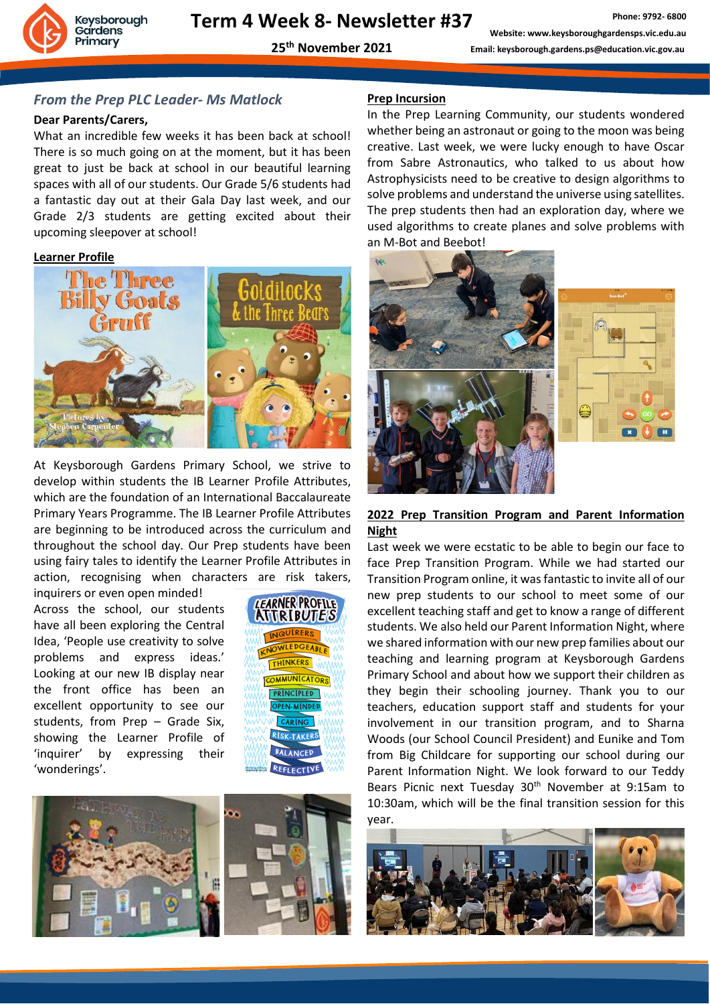

**25th November 2021**

### *From the Prep PLC Leader- Ms Matlock*

#### **Dear Parents/Carers,**

What an incredible few weeks it has been back at school! There is so much going on at the moment, but it has been great to just be back at school in our beautiful learning spaces with all of our students. Our Grade 5/6 students had a fantastic day out at their Gala Day last week, and our Grade 2/3 students are getting excited about their upcoming sleepover at school!

#### **Learner Profile**



At Keysborough Gardens Primary School, we strive to develop within students the IB Learner Profile Attributes, which are the foundation of an International Baccalaureate Primary Years Programme. The IB Learner Profile Attributes are beginning to be introduced across the curriculum and throughout the school day. Our Prep students have been using fairy tales to identify the Learner Profile Attributes in action, recognising when characters are risk takers,

inquirers or even open minded! Across the school, our students have all been exploring the Central Idea, 'People use creativity to solve problems and express ideas.' Looking at our new IB display near the front office has been an excellent opportunity to see our students, from Prep – Grade Six, showing the Learner Profile of 'inquirer' by expressing their 'wonderings'.





#### **Prep Incursion**

In the Prep Learning Community, our students wondered whether being an astronaut or going to the moon was being creative. Last week, we were lucky enough to have Oscar from Sabre Astronautics, who talked to us about how Astrophysicists need to be creative to design algorithms to solve problems and understand the universe using satellites. The prep students then had an exploration day, where we used algorithms to create planes and solve problems with an M-Bot and Beebot!



#### **2022 Prep Transition Program and Parent Information Night**

Last week we were ecstatic to be able to begin our face to face Prep Transition Program. While we had started our Transition Program online, it was fantastic to invite all of our new prep students to our school to meet some of our excellent teaching staff and get to know a range of different students. We also held our Parent Information Night, where we shared information with our new prep families about our teaching and learning program at Keysborough Gardens Primary School and about how we support their children as they begin their schooling journey. Thank you to our teachers, education support staff and students for your involvement in our transition program, and to Sharna Woods (our School Council President) and Eunike and Tom from Big Childcare for supporting our school during our Parent Information Night. We look forward to our Teddy Bears Picnic next Tuesday 30<sup>th</sup> November at 9:15am to 10:30am, which will be the final transition session for this year.

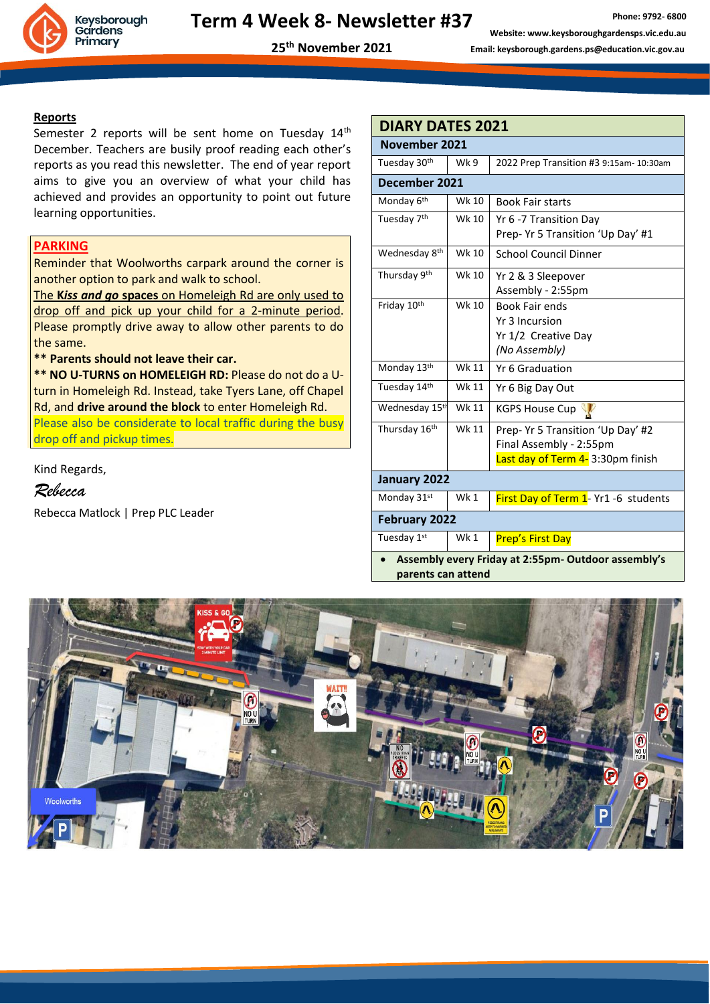

**25th November 2021**

**Reports**

Semester 2 reports will be sent home on Tuesday  $14<sup>th</sup>$ December. Teachers are busily proof reading each other's reports as you read this newsletter. The end of year report aims to give you an overview of what your child has achieved and provides an opportunity to point out future learning opportunities.

#### **PARKING**

Reminder that Woolworths carpark around the corner is another option to park and walk to school.

The **K***iss and go* **spaces** on Homeleigh Rd are only used to drop off and pick up your child for a 2-minute period. Please promptly drive away to allow other parents to do the same.

**\*\* Parents should not leave their car.** 

**\*\* NO U-TURNS on HOMELEIGH RD:** Please do not do a Uturn in Homeleigh Rd. Instead, take Tyers Lane, off Chapel Rd, and **drive around the block** to enter Homeleigh Rd.

Please also be considerate to local traffic during the busy drop off and pickup times.

Kind Regards,

*Rebecca*

Rebecca Matlock | Prep PLC Leader

| <b>DIARY DATES 2021</b>                                      |              |                                                                                                   |
|--------------------------------------------------------------|--------------|---------------------------------------------------------------------------------------------------|
| November 2021                                                |              |                                                                                                   |
| Tuesday 30 <sup>th</sup>                                     | Wk 9         | 2022 Prep Transition #3 9:15am- 10:30am                                                           |
| December 2021                                                |              |                                                                                                   |
| Monday 6 <sup>th</sup>                                       | Wk 10        | <b>Book Fair starts</b>                                                                           |
| Tuesday 7 <sup>th</sup>                                      | Wk 10        | Yr 6 -7 Transition Day<br>Prep- Yr 5 Transition 'Up Day' #1                                       |
| Wednesday 8 <sup>th</sup>                                    | Wk 10        | <b>School Council Dinner</b>                                                                      |
| Thursday 9th                                                 | Wk 10        | Yr 2 & 3 Sleepover<br>Assembly - 2:55pm                                                           |
| Friday 10th                                                  | <b>Wk 10</b> | <b>Book Fair ends</b><br>Yr 3 Incursion<br>Yr 1/2 Creative Day<br>(No Assembly)                   |
| Monday 13th                                                  | Wk 11        | Yr 6 Graduation                                                                                   |
| Tuesday 14th                                                 | Wk 11        | Yr 6 Big Day Out                                                                                  |
| Wednesday 15 <sup>th</sup>                                   | Wk 11        | <b>KGPS House Cup</b>                                                                             |
| Thursday 16th                                                | Wk 11        | Prep- Yr 5 Transition 'Up Day' #2<br>Final Assembly - 2:55pm<br>Last day of Term 4- 3:30pm finish |
| January 2022                                                 |              |                                                                                                   |
| Monday 31st                                                  | Wk 1         | First Day of Term 1- Yr1 -6 students                                                              |
| <b>February 2022</b>                                         |              |                                                                                                   |
| Tuesday 1st                                                  | Wk 1         | <b>Prep's First Day</b>                                                                           |
| م ان را ما م<br>Associately overur Fridoviat 3.EFman Outdoor |              |                                                                                                   |

• **Assembly every Friday at 2:55pm- Outdoor assembly's parents can attend**